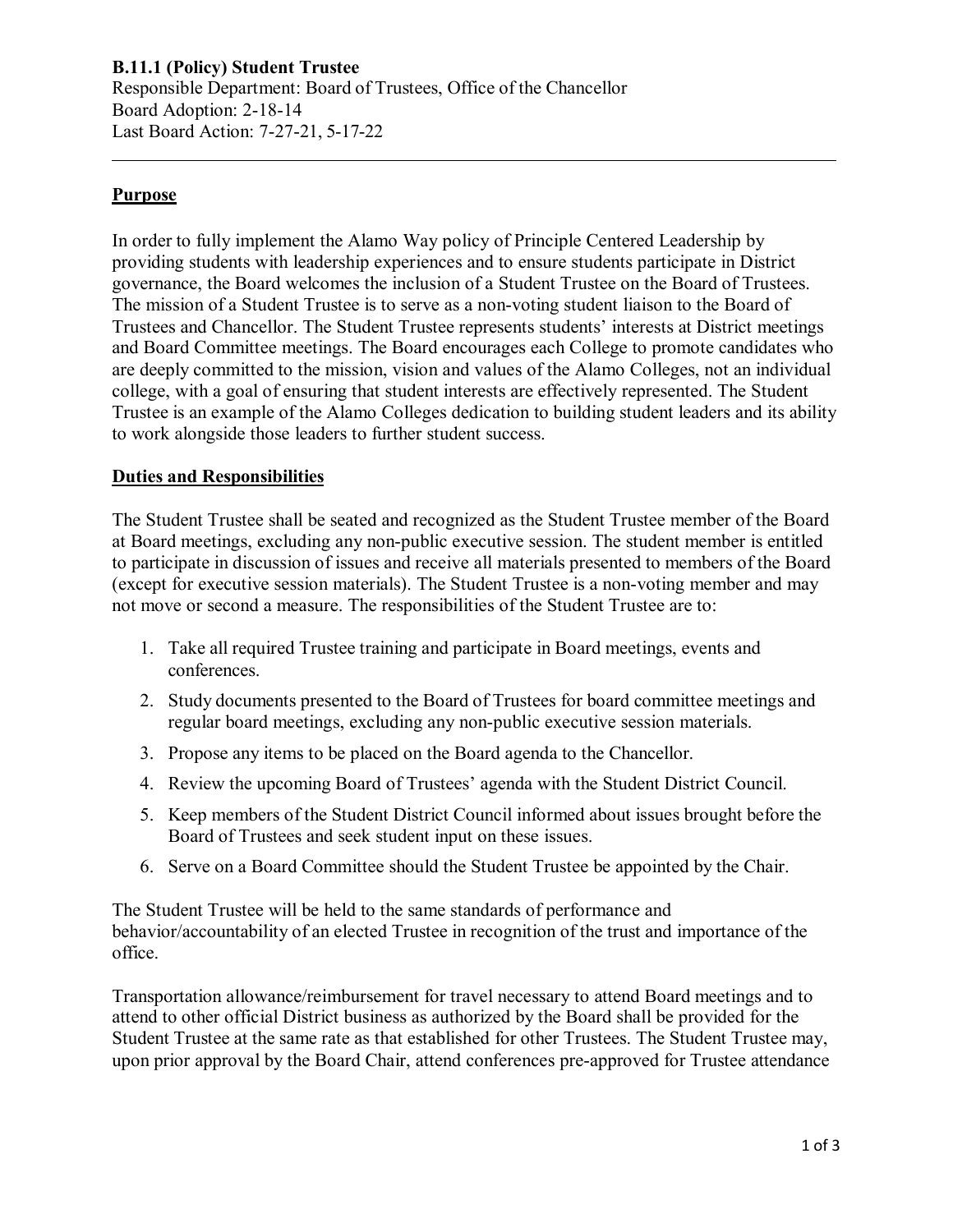# **Purpose**

In order to fully implement the Alamo Way policy of Principle Centered Leadership by providing students with leadership experiences and to ensure students participate in District governance, the Board welcomes the inclusion of a Student Trustee on the Board of Trustees. The mission of a Student Trustee is to serve as a non-voting student liaison to the Board of Trustees and Chancellor. The Student Trustee represents students' interests at District meetings and Board Committee meetings. The Board encourages each College to promote candidates who are deeply committed to the mission, vision and values of the Alamo Colleges, not an individual college, with a goal of ensuring that student interests are effectively represented. The Student Trustee is an example of the Alamo Colleges dedication to building student leaders and its ability to work alongside those leaders to further student success.

## **Duties and Responsibilities**

The Student Trustee shall be seated and recognized as the Student Trustee member of the Board at Board meetings, excluding any non-public executive session. The student member is entitled to participate in discussion of issues and receive all materials presented to members of the Board (except for executive session materials). The Student Trustee is a non-voting member and may not move or second a measure. The responsibilities of the Student Trustee are to:

- 1. Take all required Trustee training and participate in Board meetings, events and conferences.
- 2. Study documents presented to the Board of Trustees for board committee meetings and regular board meetings, excluding any non-public executive session materials.
- 3. Propose any items to be placed on the Board agenda to the Chancellor.
- 4. Review the upcoming Board of Trustees' agenda with the Student District Council.
- 5. Keep members of the Student District Council informed about issues brought before the Board of Trustees and seek student input on these issues.
- 6. Serve on a Board Committee should the Student Trustee be appointed by the Chair.

The Student Trustee will be held to the same standards of performance and behavior/accountability of an elected Trustee in recognition of the trust and importance of the office.

Transportation allowance/reimbursement for travel necessary to attend Board meetings and to attend to other official District business as authorized by the Board shall be provided for the Student Trustee at the same rate as that established for other Trustees. The Student Trustee may, upon prior approval by the Board Chair, attend conferences pre-approved for Trustee attendance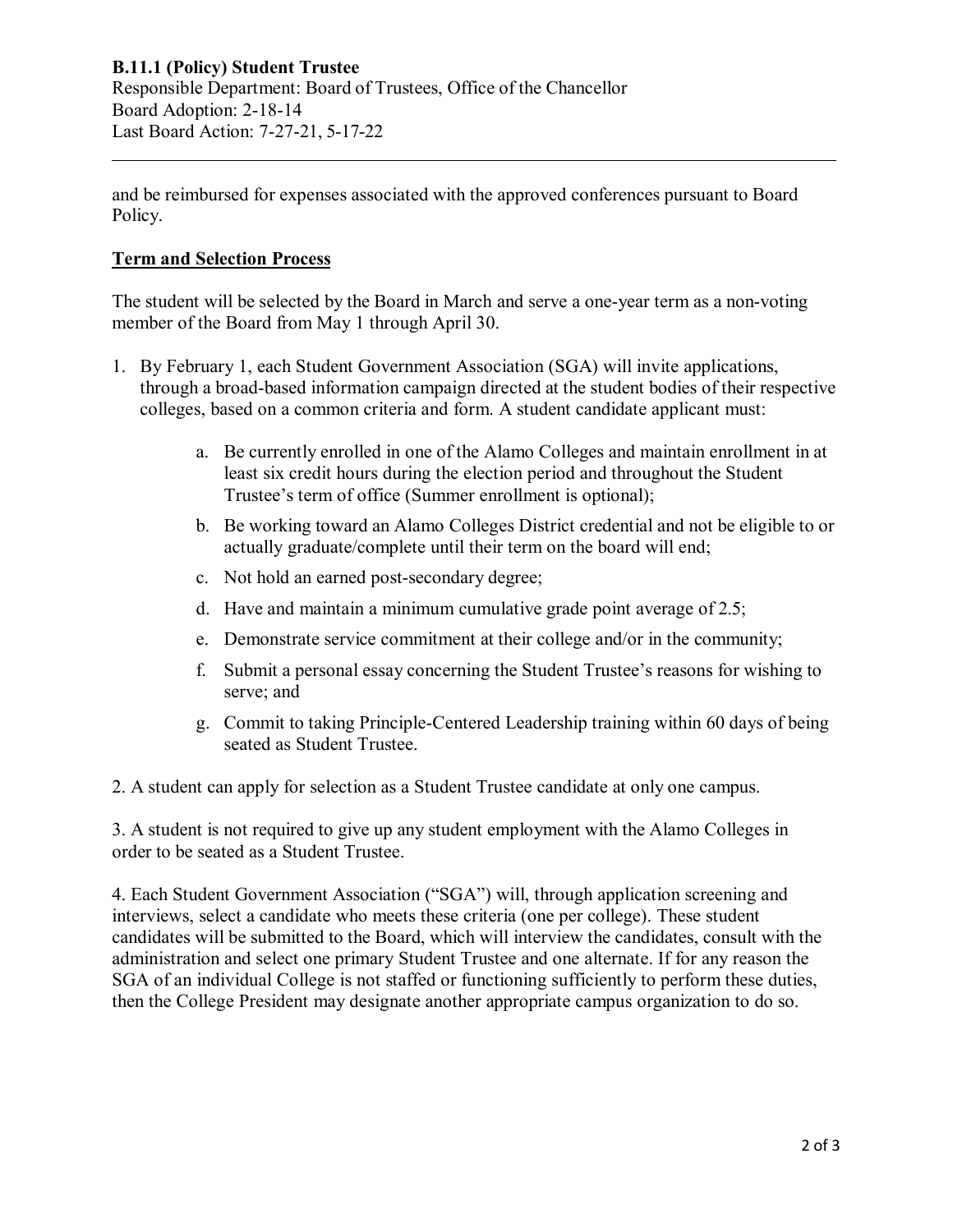and be reimbursed for expenses associated with the approved conferences pursuant to Board Policy.

# **Term and Selection Process**

The student will be selected by the Board in March and serve a one-year term as a non-voting member of the Board from May 1 through April 30.

- 1. By February 1, each Student Government Association (SGA) will invite applications, through a broad-based information campaign directed at the student bodies of their respective colleges, based on a common criteria and form. A student candidate applicant must:
	- a. Be currently enrolled in one of the Alamo Colleges and maintain enrollment in at least six credit hours during the election period and throughout the Student Trustee's term of office (Summer enrollment is optional);
	- b. Be working toward an Alamo Colleges District credential and not be eligible to or actually graduate/complete until their term on the board will end;
	- c. Not hold an earned post-secondary degree;
	- d. Have and maintain a minimum cumulative grade point average of 2.5;
	- e. Demonstrate service commitment at their college and/or in the community;
	- f. Submit a personal essay concerning the Student Trustee's reasons for wishing to serve; and
	- g. Commit to taking Principle-Centered Leadership training within 60 days of being seated as Student Trustee.
- 2. A student can apply for selection as a Student Trustee candidate at only one campus.

3. A student is not required to give up any student employment with the Alamo Colleges in order to be seated as a Student Trustee.

4. Each Student Government Association ("SGA") will, through application screening and interviews, select a candidate who meets these criteria (one per college). These student candidates will be submitted to the Board, which will interview the candidates, consult with the administration and select one primary Student Trustee and one alternate. If for any reason the SGA of an individual College is not staffed or functioning sufficiently to perform these duties, then the College President may designate another appropriate campus organization to do so.